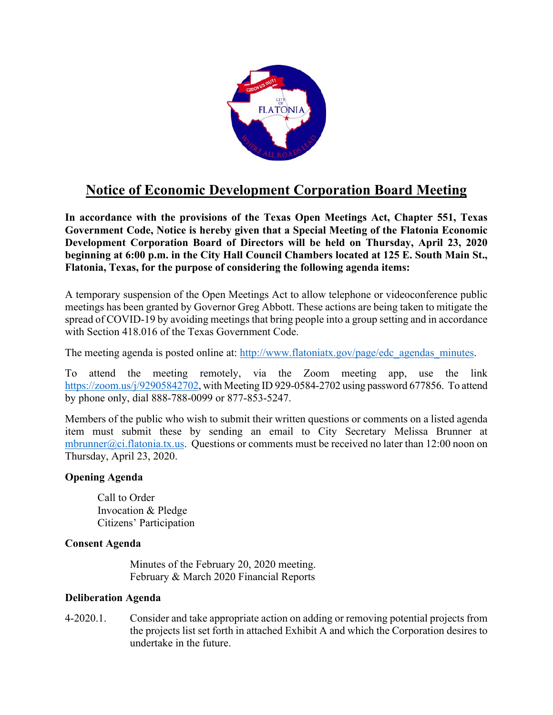

# **Notice of Economic Development Corporation Board Meeting**

**In accordance with the provisions of the Texas Open Meetings Act, Chapter 551, Texas Government Code, Notice is hereby given that a Special Meeting of the Flatonia Economic Development Corporation Board of Directors will be held on Thursday, April 23, 2020 beginning at 6:00 p.m. in the City Hall Council Chambers located at 125 E. South Main St., Flatonia, Texas, for the purpose of considering the following agenda items:**

A temporary suspension of the Open Meetings Act to allow telephone or videoconference public meetings has been granted by Governor Greg Abbott. These actions are being taken to mitigate the spread of COVID-19 by avoiding meetings that bring people into a group setting and in accordance with Section 418.016 of the Texas Government Code.

The meeting agenda is posted online at: http://www.flatoniatx.gov/page/edc\_agendas\_minutes.

To attend the meeting remotely, via the Zoom meeting app, use the link https://zoom.us/j/92905842702, with Meeting ID 929-0584-2702 using password 677856. To attend by phone only, dial 888-788-0099 or 877-853-5247.

Members of the public who wish to submit their written questions or comments on a listed agenda item must submit these by sending an email to City Secretary Melissa Brunner at mbrunner@ci.flatonia.tx.us. Questions or comments must be received no later than 12:00 noon on Thursday, April 23, 2020.

### **Opening Agenda**

Call to Order Invocation & Pledge Citizens' Participation

# **Consent Agenda**

Minutes of the February 20, 2020 meeting. February & March 2020 Financial Reports

### **Deliberation Agenda**

4-2020.1. Consider and take appropriate action on adding or removing potential projects from the projects list set forth in attached Exhibit A and which the Corporation desires to undertake in the future.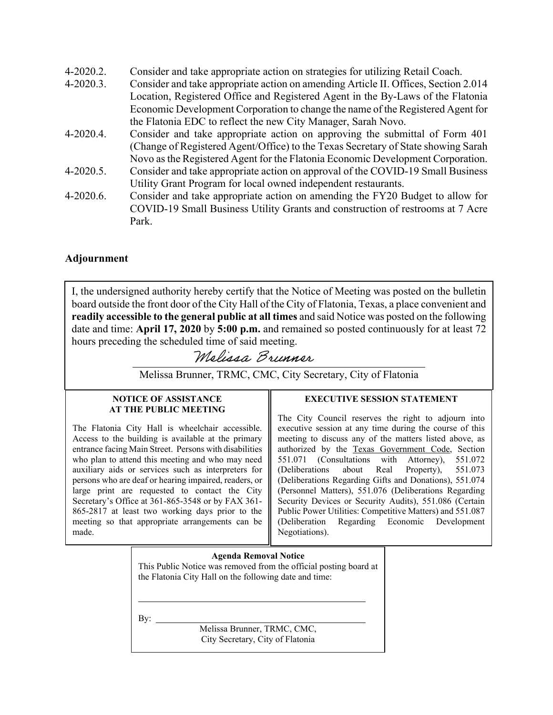- 4-2020.2. Consider and take appropriate action on strategies for utilizing Retail Coach.
- 4-2020.3. Consider and take appropriate action on amending Article II. Offices, Section 2.014 Location, Registered Office and Registered Agent in the By-Laws of the Flatonia Economic Development Corporation to change the name of the Registered Agent for the Flatonia EDC to reflect the new City Manager, Sarah Novo.
- 4-2020.4. Consider and take appropriate action on approving the submittal of Form 401 (Change of Registered Agent/Office) to the Texas Secretary of State showing Sarah Novo as the Registered Agent for the Flatonia Economic Development Corporation.
- 4-2020.5. Consider and take appropriate action on approval of the COVID-19 Small Business Utility Grant Program for local owned independent restaurants.
- 4-2020.6. Consider and take appropriate action on amending the FY20 Budget to allow for COVID-19 Small Business Utility Grants and construction of restrooms at 7 Acre Park.

# **Adjournment**

I, the undersigned authority hereby certify that the Notice of Meeting was posted on the bulletin board outside the front door of the City Hall of the City of Flatonia, Texas, a place convenient and **readily accessible to the general public at all times** and said Notice was posted on the following date and time: **April 17, 2020** by **5:00 p.m.** and remained so posted continuously for at least 72 hours preceding the scheduled time of said meeting.

Melissa Brunner

Melissa Brunner, TRMC, CMC, City Secretary, City of Flatonia

#### **NOTICE OF ASSISTANCE AT THE PUBLIC MEETING**

 $\overline{a}$ 

The Flatonia City Hall is wheelchair accessible. Access to the building is available at the primary entrance facing Main Street. Persons with disabilities who plan to attend this meeting and who may need auxiliary aids or services such as interpreters for persons who are deaf or hearing impaired, readers, or large print are requested to contact the City Secretary's Office at 361-865-3548 or by FAX 361- 865-2817 at least two working days prior to the meeting so that appropriate arrangements can be made.

### **EXECUTIVE SESSION STATEMENT**

The City Council reserves the right to adjourn into executive session at any time during the course of this meeting to discuss any of the matters listed above, as authorized by the Texas Government Code, Section 551.071 (Consultations with Attorney), 551.072 (Deliberations about Real Property), 551.073 (Deliberations Regarding Gifts and Donations), 551.074 (Personnel Matters), 551.076 (Deliberations Regarding Security Devices or Security Audits), 551.086 (Certain Public Power Utilities: Competitive Matters) and 551.087 (Deliberation Regarding Economic Development Negotiations).

**Agenda Removal Notice**  This Public Notice was removed from the official posting board at the Flatonia City Hall on the following date and time:

By:  $\overline{\phantom{a}}$ 

l

Melissa Brunner, TRMC, CMC, City Secretary, City of Flatonia